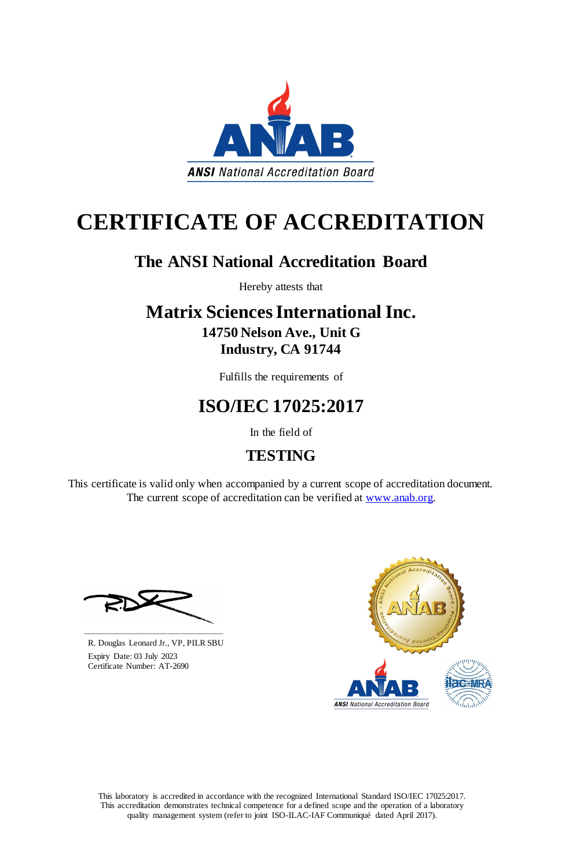This laboratory is accredited in accordance with the recognized International Standard ISO/IEC 17025:2017. This accreditation demonstrates technical competence for a defined scope and the operation of a laboratory quality management system (refer to joint ISO-ILAC-IAF Communiqué dated April 2017).

This certificate is valid only when accompanied by a current scope of accreditation document. The current scope of accreditation can be verified at [www.anab.org.](http://www.anab.org/)



# **CERTIFICATE OF ACCREDITATION**

### **The ANSI National Accreditation Board**

Hereby attests that

### **Matrix Sciences International Inc. 14750 Nelson Ave., Unit G Industry, CA 91744**

Fulfills the requirements of

## **ISO/IEC 17025:2017**

In the field of

### **TESTING**





R. Douglas Leonard Jr., VP, PILR SBU

 Expiry Date: 03 July 2023 Certificate Number: AT-2690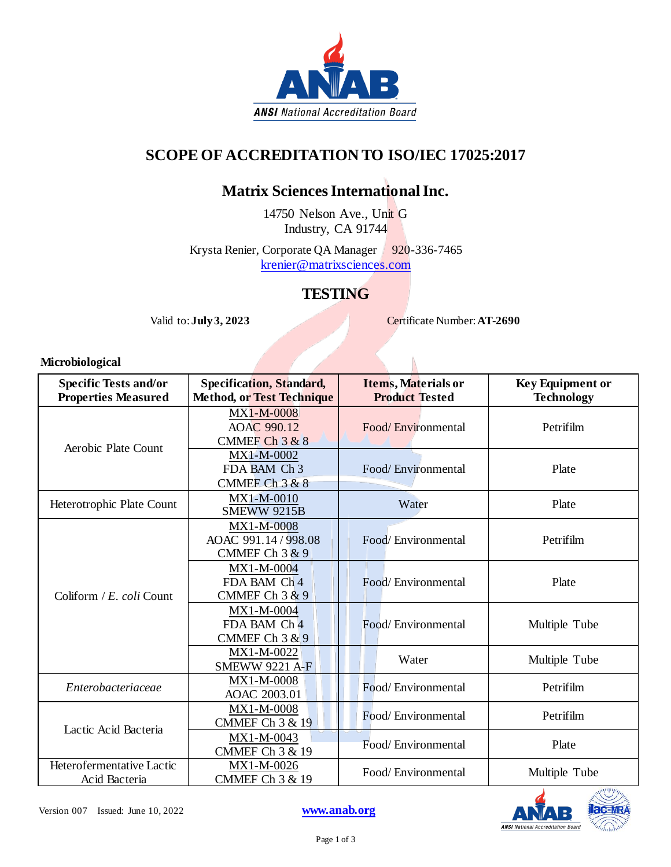

#### **SCOPE OF ACCREDITATION TO ISO/IEC 17025:2017**

#### **Matrix Sciences International Inc.**

14750 Nelson Ave., Unit G Industry, CA 91744

Krysta Renier, Corporate QA Manager 920-336-7465 [krenier@matrixsciences.com](mailto:krenier@matrixsciences.com)

#### **TESTING**

Valid to: **July 3, 2023** Certificate Number: **AT-2690** 

#### **Microbiological**

| <b>Specific Tests and/or</b><br><b>Properties Measured</b> | <b>Specification, Standard,</b><br><b>Method, or Test Technique</b> | <b>Items, Materials or</b><br><b>Product Tested</b> | <b>Key Equipment or</b><br><b>Technology</b> |
|------------------------------------------------------------|---------------------------------------------------------------------|-----------------------------------------------------|----------------------------------------------|
| Aerobic Plate Count                                        | MX1-M-0008<br>AOAC 990.12<br>CMMEF Ch $3 & 8$                       | Food/Environmental                                  | Petrifilm                                    |
|                                                            | MX1-M-0002<br>FDA BAM Ch 3<br>CMMEF Ch $3 & 8$                      | Food/Environmental                                  | Plate                                        |
| Heterotrophic Plate Count                                  | MX1-M-0010<br><b>SMEWW 9215B</b>                                    | Water                                               | Plate                                        |
| Coliform / $E$ . coli Count                                | MX1-M-0008<br>AOAC 991.14 / 998.08<br>CMMEF Ch $3 & 9$              | Food/Environmental                                  | Petrifilm                                    |
|                                                            | MX1-M-0004<br>FDA BAM Ch 4<br>CMMEF Ch $3 & 9$                      | Food/Environmental                                  | Plate                                        |
|                                                            | MX1-M-0004<br>FDA BAM Ch 4<br>CMMEF Ch $3 & 9$                      | Food/Environmental                                  | Multiple Tube                                |
|                                                            | MX1-M-0022<br><b>SMEWW 9221 A-F</b>                                 | Water                                               | Multiple Tube                                |
| Enterobacteriaceae                                         | MX1-M-0008<br>AOAC 2003.01                                          | Food/Environmental                                  | Petrifilm                                    |
| Lactic Acid Bacteria                                       | MX1-M-0008<br><b>CMMEF Ch 3 &amp; 19</b>                            | Food/Environmental                                  | Petrifilm                                    |
|                                                            | MX1-M-0043<br><b>CMMEF Ch 3 &amp; 19</b>                            | Food/Environmental                                  | Plate                                        |
| Heterofermentative Lactic<br>Acid Bacteria                 | MX1-M-0026<br><b>CMMEF Ch 3 &amp; 19</b>                            | Food/Environmental                                  | Multiple Tube                                |

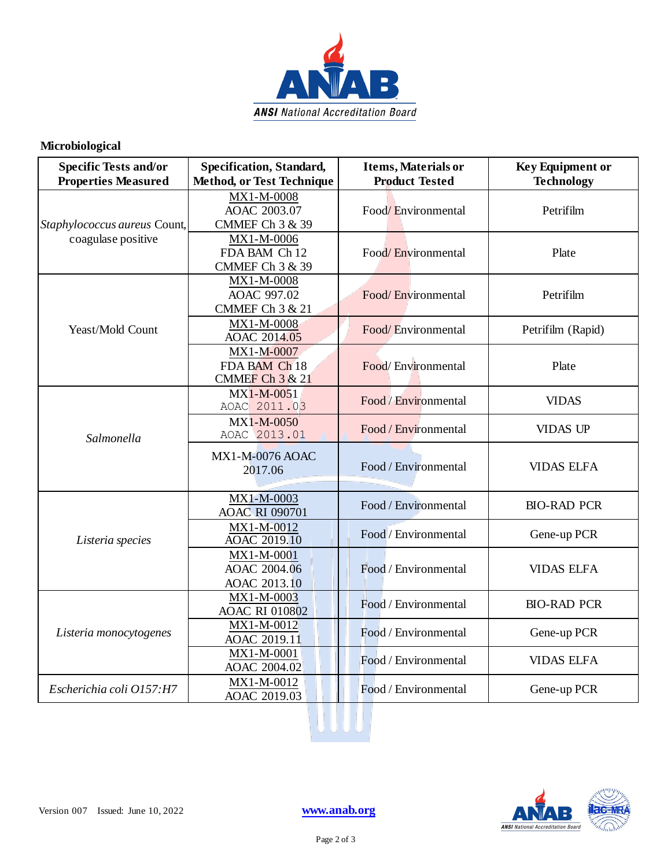

#### **Microbiological**

| <b>Specific Tests and/or</b><br><b>Properties Measured</b> | <b>Specification, Standard,</b><br><b>Method, or Test Technique</b> | Items, Materials or<br><b>Product Tested</b> | <b>Key Equipment or</b><br><b>Technology</b> |
|------------------------------------------------------------|---------------------------------------------------------------------|----------------------------------------------|----------------------------------------------|
| Staphylococcus aureus Count,<br>coagulase positive         | MX1-M-0008<br>AOAC 2003.07<br><b>CMMEF Ch 3 &amp; 39</b>            | Food/Environmental                           | Petrifilm                                    |
|                                                            | MX1-M-0006<br>FDA BAM Ch 12<br><b>CMMEF Ch 3 &amp; 39</b>           | Food/Environmental                           | Plate                                        |
| Yeast/Mold Count                                           | MX1-M-0008<br>AOAC 997.02<br><b>CMMEF Ch 3 &amp; 21</b>             | Food/Environmental                           | Petrifilm                                    |
|                                                            | MX1-M-0008<br>AOAC 2014.05                                          | Food/Environmental                           | Petrifilm (Rapid)                            |
|                                                            | MX1-M-0007<br>FDA BAM Ch 18<br>CMMEF Ch $3 & 21$                    | Food/Environmental                           | Plate                                        |
| Salmonella                                                 | $MX1-M-0051$<br>AOAC 2011.03                                        | Food / Environmental                         | <b>VIDAS</b>                                 |
|                                                            | MX1-M-0050<br>AOAC 2013.01                                          | Food / Environmental                         | <b>VIDAS UP</b>                              |
|                                                            | <b>MX1-M-0076 AOAC</b><br>2017.06                                   | Food / Environmental                         | <b>VIDAS ELFA</b>                            |
| Listeria species                                           | MX1-M-0003<br><b>AOAC RI 090701</b>                                 | Food / Environmental                         | <b>BIO-RAD PCR</b>                           |
|                                                            | MX1-M-0012<br><b>AOAC 2019.10</b>                                   | Food / Environmental                         | Gene-up PCR                                  |
|                                                            | MX1-M-0001<br>AOAC 2004.06<br>AOAC 2013.10                          | Food / Environmental                         | <b>VIDAS ELFA</b>                            |
| Listeria monocytogenes                                     | MX1-M-0003<br><b>AOAC RI 010802</b>                                 | Food / Environmental                         | <b>BIO-RAD PCR</b>                           |
|                                                            | MX1-M-0012<br>AOAC 2019.11                                          | Food / Environmental                         | Gene-up PCR                                  |
|                                                            | MX1-M-0001<br>AOAC 2004.02                                          | Food / Environmental                         | <b>VIDAS ELFA</b>                            |
| Escherichia coli O157:H7                                   | MX1-M-0012<br>AOAC 2019.03                                          | Food / Environmental                         | Gene-up PCR                                  |